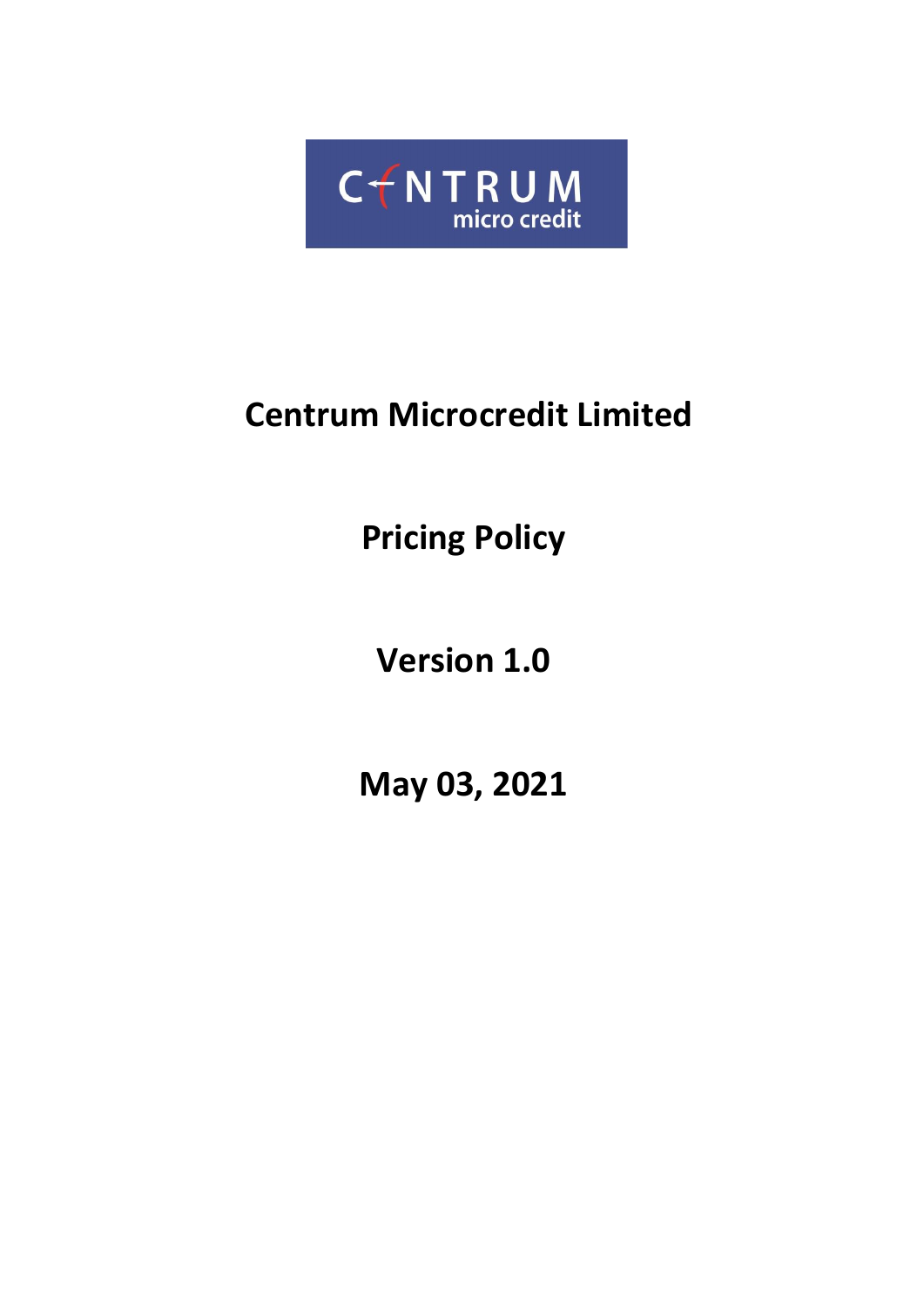

# **Centrum Microcredit Limited**

**Pricing Policy**

**Version 1.0**

**May 03, 2021**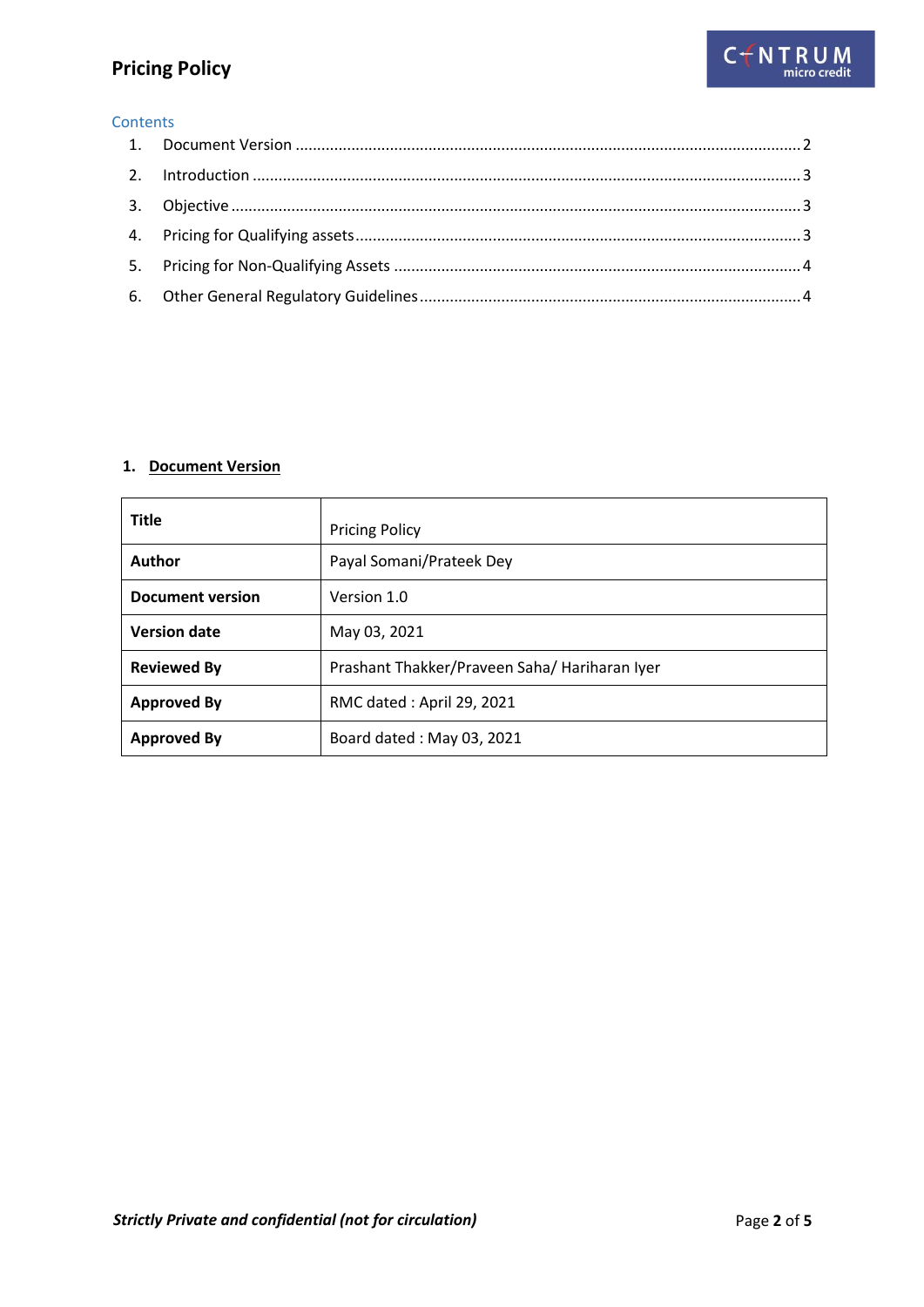## **Pricing Policy**

#### **Contents**

#### <span id="page-1-0"></span>**1. Document Version**

| <b>Title</b>            | <b>Pricing Policy</b>                         |
|-------------------------|-----------------------------------------------|
| Author                  | Payal Somani/Prateek Dey                      |
| <b>Document version</b> | Version 1.0                                   |
| <b>Version date</b>     | May 03, 2021                                  |
| <b>Reviewed By</b>      | Prashant Thakker/Praveen Saha/ Hariharan Iyer |
| <b>Approved By</b>      | RMC dated: April 29, 2021                     |
| <b>Approved By</b>      | Board dated: May 03, 2021                     |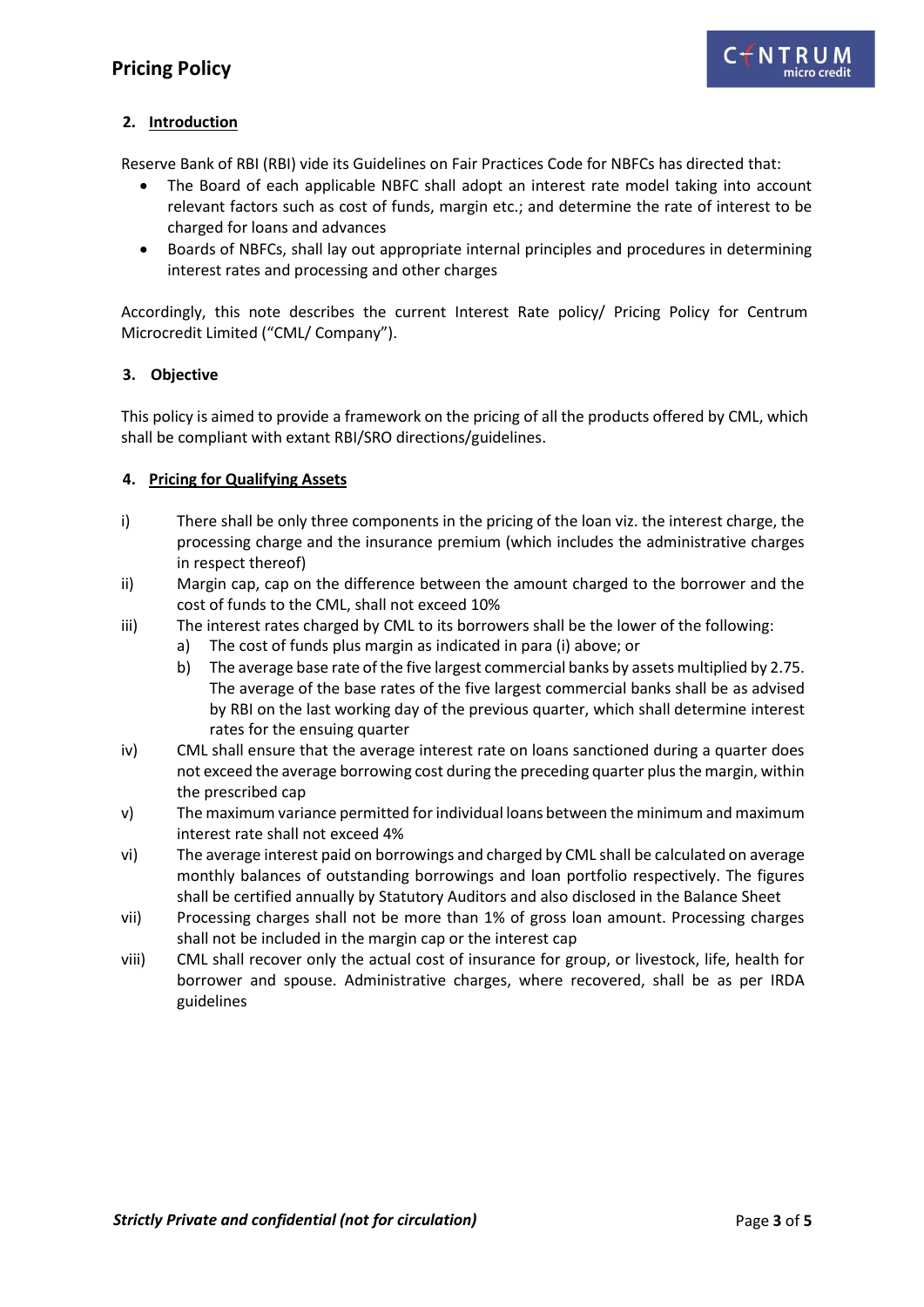#### <span id="page-2-0"></span>**2. Introduction**

Reserve Bank of RBI (RBI) vide its Guidelines on Fair Practices Code for NBFCs has directed that:

- The Board of each applicable NBFC shall adopt an interest rate model taking into account relevant factors such as cost of funds, margin etc.; and determine the rate of interest to be charged for loans and advances
- Boards of NBFCs, shall lay out appropriate internal principles and procedures in determining interest rates and processing and other charges

Accordingly, this note describes the current Interest Rate policy/ Pricing Policy for Centrum Microcredit Limited ("CML/ Company").

#### <span id="page-2-1"></span>**3. Objective**

This policy is aimed to provide a framework on the pricing of all the products offered by CML, which shall be compliant with extant RBI/SRO directions/guidelines.

#### <span id="page-2-2"></span>**4. Pricing for Qualifying Assets**

- i) There shall be only three components in the pricing of the loan viz. the interest charge, the processing charge and the insurance premium (which includes the administrative charges in respect thereof)
- ii) Margin cap, cap on the difference between the amount charged to the borrower and the cost of funds to the CML, shall not exceed 10%
- iii) The interest rates charged by CML to its borrowers shall be the lower of the following:
	- a) The cost of funds plus margin as indicated in para (i) above; or
	- b) The average base rate of the five largest commercial banks by assets multiplied by 2.75. The average of the base rates of the five largest commercial banks shall be as advised by RBI on the last working day of the previous quarter, which shall determine interest rates for the ensuing quarter
- iv) CML shall ensure that the average interest rate on loans sanctioned during a quarter does not exceed the average borrowing cost during the preceding quarter plus the margin, within the prescribed cap
- v) The maximum variance permitted for individual loans between the minimum and maximum interest rate shall not exceed 4%
- vi) The average interest paid on borrowings and charged by CML shall be calculated on average monthly balances of outstanding borrowings and loan portfolio respectively. The figures shall be certified annually by Statutory Auditors and also disclosed in the Balance Sheet
- vii) Processing charges shall not be more than 1% of gross loan amount. Processing charges shall not be included in the margin cap or the interest cap
- viii) CML shall recover only the actual cost of insurance for group, or livestock, life, health for borrower and spouse. Administrative charges, where recovered, shall be as per IRDA guidelines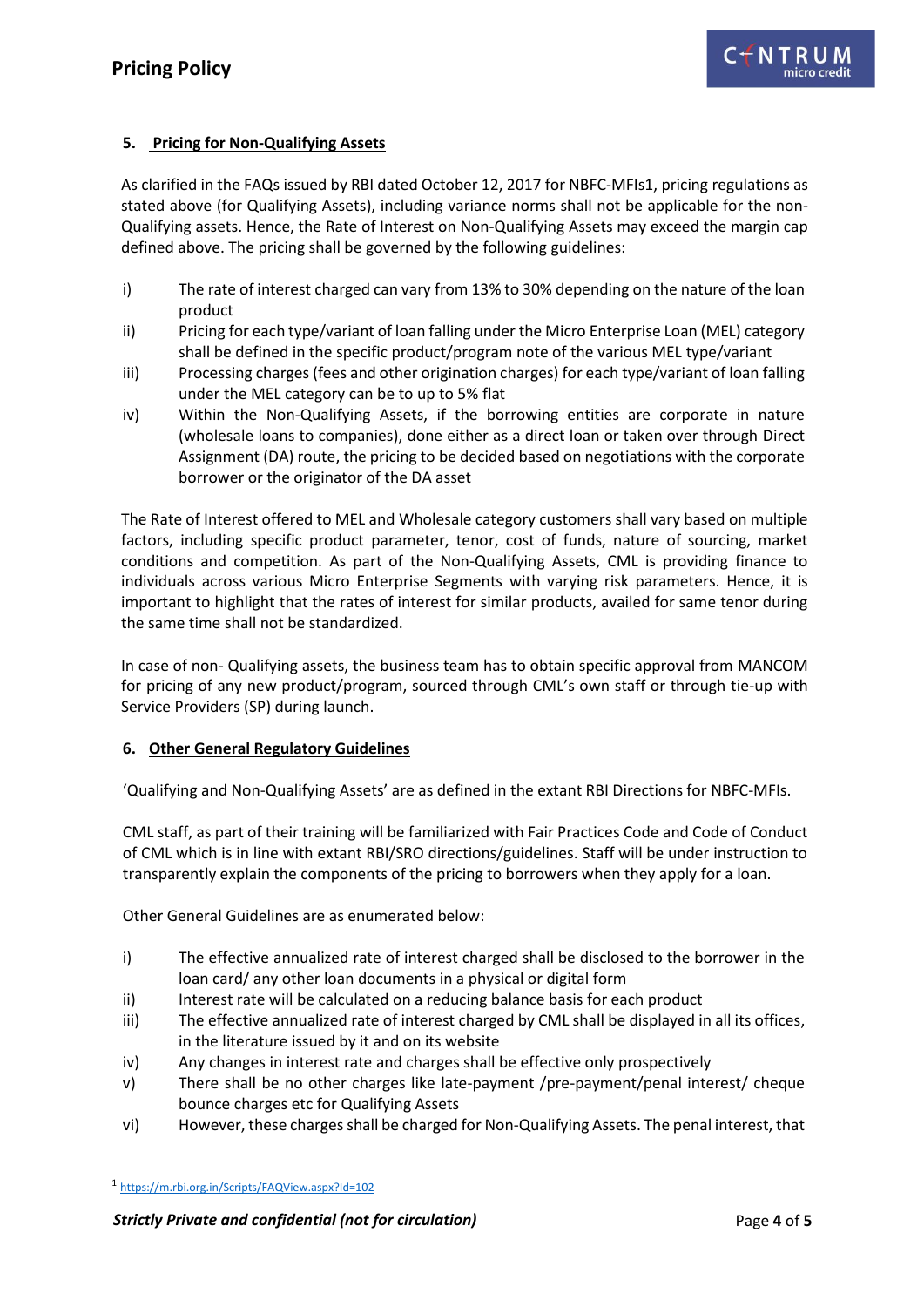#### <span id="page-3-0"></span>**5. Pricing for Non-Qualifying Assets**

As clarified in the FAQs issued by RBI dated October 12, 2017 for NBFC-MFIs1, pricing regulations as stated above (for Qualifying Assets), including variance norms shall not be applicable for the non-Qualifying assets. Hence, the Rate of Interest on Non-Qualifying Assets may exceed the margin cap defined above. The pricing shall be governed by the following guidelines:

- i) The rate of interest charged can vary from 13% to 30% depending on the nature of the loan product
- ii) Pricing for each type/variant of loan falling under the Micro Enterprise Loan (MEL) category shall be defined in the specific product/program note of the various MEL type/variant
- iii) Processing charges (fees and other origination charges) for each type/variant of loan falling under the MEL category can be to up to 5% flat
- iv) Within the Non-Qualifying Assets, if the borrowing entities are corporate in nature (wholesale loans to companies), done either as a direct loan or taken over through Direct Assignment (DA) route, the pricing to be decided based on negotiations with the corporate borrower or the originator of the DA asset

The Rate of Interest offered to MEL and Wholesale category customers shall vary based on multiple factors, including specific product parameter, tenor, cost of funds, nature of sourcing, market conditions and competition. As part of the Non-Qualifying Assets, CML is providing finance to individuals across various Micro Enterprise Segments with varying risk parameters. Hence, it is important to highlight that the rates of interest for similar products, availed for same tenor during the same time shall not be standardized.

In case of non- Qualifying assets, the business team has to obtain specific approval from MANCOM for pricing of any new product/program, sourced through CML's own staff or through tie-up with Service Providers (SP) during launch.

#### <span id="page-3-1"></span>**6. Other General Regulatory Guidelines**

'Qualifying and Non-Qualifying Assets' are as defined in the extant RBI Directions for NBFC-MFIs.

CML staff, as part of their training will be familiarized with Fair Practices Code and Code of Conduct of CML which is in line with extant RBI/SRO directions/guidelines. Staff will be under instruction to transparently explain the components of the pricing to borrowers when they apply for a loan.

Other General Guidelines are as enumerated below:

- i) The effective annualized rate of interest charged shall be disclosed to the borrower in the loan card/ any other loan documents in a physical or digital form
- ii) Interest rate will be calculated on a reducing balance basis for each product
- iii) The effective annualized rate of interest charged by CML shall be displayed in all its offices, in the literature issued by it and on its website
- iv) Any changes in interest rate and charges shall be effective only prospectively
- v) There shall be no other charges like late-payment /pre-payment/penal interest/ cheque bounce charges etc for Qualifying Assets
- vi) However, these charges shall be charged for Non-Qualifying Assets. The penal interest, that

**.** 

<sup>1</sup> <https://m.rbi.org.in/Scripts/FAQView.aspx?Id=102>